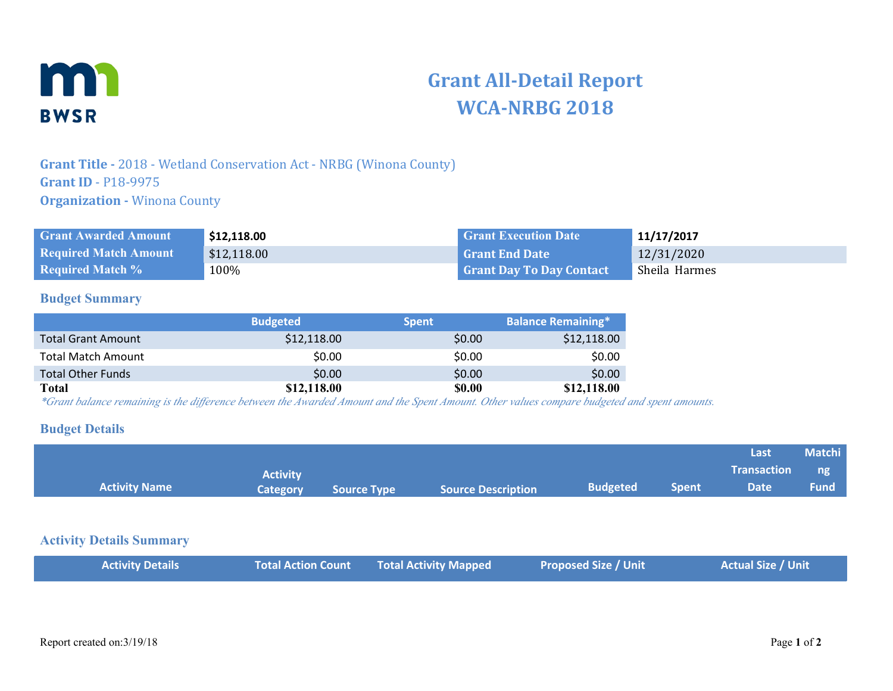

# **Grant All-Detail Report WCA-NRBG 2018**

## **Grant Title -** 2018 - Wetland Conservation Act - NRBG (Winona County) **Grant ID** - P18-9975 **Organization - Winona County**

| <b>Grant Awarded Amount</b>  | \$12,118.00 | <b>Grant Execution Date</b>     | 11/17/2017    |
|------------------------------|-------------|---------------------------------|---------------|
| <b>Required Match Amount</b> | \$12,118.00 | l Grant End Date                | 12/31/2020    |
| <b>Required Match %</b>      | $100\%$     | <b>Grant Day To Day Contact</b> | Sheila Harmes |

#### **Budget Summary**

|                           | <b>Budgeted</b> | <b>Spent</b> | <b>Balance Remaining*</b> |
|---------------------------|-----------------|--------------|---------------------------|
| <b>Total Grant Amount</b> | \$12,118.00     | \$0.00       | \$12,118.00               |
| <b>Total Match Amount</b> | \$0.00          | \$0.00       | \$0.00                    |
| <b>Total Other Funds</b>  | \$0.00          | \$0.00       | \$0.00                    |
| Total                     | \$12,118.00     | \$0.00       | \$12,118.00               |

*\*Grant balance remaining is the difference between the Awarded Amount and the Spent Amount. Other values compare budgeted and spent amounts.*

#### **Budget Details**

|                      |                 |                    |                           |                 |       | Last               | <b>Matchi</b> |
|----------------------|-----------------|--------------------|---------------------------|-----------------|-------|--------------------|---------------|
|                      | <b>Activity</b> |                    |                           |                 |       | <b>Transaction</b> | $\Box$ ng     |
| <b>Activity Name</b> | Category        | <b>Source Type</b> | <b>Source Description</b> | <b>Budgeted</b> | Spent | <b>Date</b>        | <b>Fund</b>   |

#### **Activity Details Summary**

|  |  | <b>Activity Details</b> |  | Total Action Count Total Activity Mapped | <b>Proposed Size / Unit</b> | Actual Size / Unit |
|--|--|-------------------------|--|------------------------------------------|-----------------------------|--------------------|
|--|--|-------------------------|--|------------------------------------------|-----------------------------|--------------------|